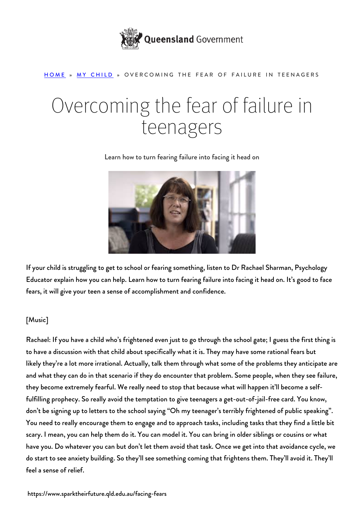

## [HOME](https://www.sparktheirfuture.qld.edu.au/) » [MY CHILD](https://www.sparktheirfuture.qld.edu.au/category/my-child/) » OVERCOMING THE FEAR OF FAILURE IN TEENAGERS

## Overcoming the fear of failure in teenagers

Learn how to turn fearing failure into facing it head on



If your child is struggling to get to school or fearing something, listen to Dr Rachael Sharman, Psychology Educator explain how you can help. Learn how to turn fearing failure into facing it head on. It's good to face fears, it will give your teen a sense of accomplishment and confidence.

## [Music]

Rachael: If you have a child who's frightened even just to go through the school gate; I guess the first thing is to have a discussion with that child about specifically what it is. They may have some rational fears but likely they're a lot more irrational. Actually, talk them through what some of the problems they anticipate are and what they can do in that scenario if they do encounter that problem. Some people, when they see failure, they become extremely fearful. We really need to stop that because what will happen it'll become a selffulfilling prophecy. So really avoid the temptation to give teenagers a get-out-of-jail-free card. You know, don't be signing up to letters to the school saying "Oh my teenager's terribly frightened of public speaking". You need to really encourage them to engage and to approach tasks, including tasks that they find a little bit scary. I mean, you can help them do it. You can model it. You can bring in older siblings or cousins or what have you. Do whatever you can but don't let them avoid that task. Once we get into that avoidance cycle, we do start to see anxiety building. So they'll see something coming that frightens them. They'll avoid it. They'll feel a sense of relief.